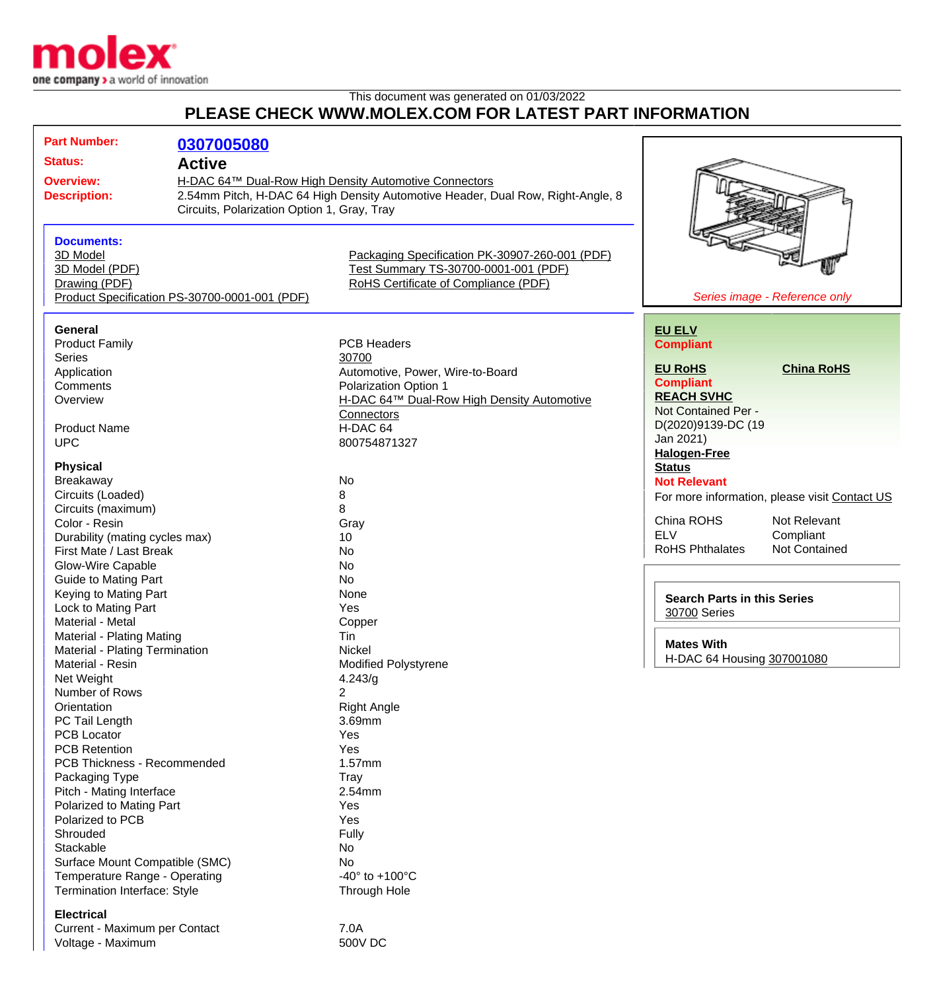

## This document was generated on 01/03/2022 **PLEASE CHECK WWW.MOLEX.COM FOR LATEST PART INFORMATION**

| <b>Part Number:</b>                                                                                    |                                             |                                                |                                                    |                                               |
|--------------------------------------------------------------------------------------------------------|---------------------------------------------|------------------------------------------------|----------------------------------------------------|-----------------------------------------------|
|                                                                                                        | 0307005080                                  |                                                |                                                    |                                               |
| <b>Status:</b>                                                                                         | <b>Active</b>                               |                                                |                                                    |                                               |
| H-DAC 64™ Dual-Row High Density Automotive Connectors<br><b>Overview:</b>                              |                                             |                                                |                                                    |                                               |
| 2.54mm Pitch, H-DAC 64 High Density Automotive Header, Dual Row, Right-Angle, 8<br><b>Description:</b> |                                             |                                                |                                                    |                                               |
|                                                                                                        | Circuits, Polarization Option 1, Gray, Tray |                                                |                                                    |                                               |
|                                                                                                        |                                             |                                                |                                                    |                                               |
| <b>Documents:</b>                                                                                      |                                             |                                                |                                                    |                                               |
| 3D Model                                                                                               |                                             | Packaging Specification PK-30907-260-001 (PDF) |                                                    |                                               |
| 3D Model (PDF)                                                                                         |                                             | Test Summary TS-30700-0001-001 (PDF)           |                                                    |                                               |
| RoHS Certificate of Compliance (PDF)<br>Drawing (PDF)<br>Product Specification PS-30700-0001-001 (PDF) |                                             |                                                |                                                    |                                               |
|                                                                                                        |                                             |                                                |                                                    | Series image - Reference only                 |
| <b>General</b>                                                                                         |                                             |                                                | <b>EU ELV</b>                                      |                                               |
| <b>Product Family</b>                                                                                  |                                             | <b>PCB Headers</b>                             | <b>Compliant</b>                                   |                                               |
| <b>Series</b>                                                                                          |                                             | 30700                                          |                                                    |                                               |
| Application                                                                                            |                                             | Automotive, Power, Wire-to-Board               | <b>EU RoHS</b>                                     | <b>China RoHS</b>                             |
| Comments                                                                                               |                                             | <b>Polarization Option 1</b>                   | <b>Compliant</b>                                   |                                               |
| Overview                                                                                               |                                             | H-DAC 64™ Dual-Row High Density Automotive     | <b>REACH SVHC</b>                                  |                                               |
|                                                                                                        |                                             | Connectors                                     | Not Contained Per -                                |                                               |
| <b>Product Name</b>                                                                                    |                                             | H-DAC 64                                       | D(2020)9139-DC (19                                 |                                               |
| <b>UPC</b>                                                                                             |                                             | 800754871327                                   | Jan 2021)                                          |                                               |
|                                                                                                        |                                             |                                                | <b>Halogen-Free</b>                                |                                               |
| <b>Physical</b>                                                                                        |                                             |                                                | <b>Status</b>                                      |                                               |
| Breakaway                                                                                              |                                             | No                                             | <b>Not Relevant</b>                                |                                               |
| Circuits (Loaded)                                                                                      |                                             | 8                                              |                                                    | For more information, please visit Contact US |
| Circuits (maximum)                                                                                     |                                             | 8                                              |                                                    |                                               |
| Color - Resin                                                                                          |                                             | Gray                                           | China ROHS                                         | Not Relevant                                  |
| Durability (mating cycles max)                                                                         |                                             | 10                                             | <b>ELV</b>                                         | Compliant                                     |
| First Mate / Last Break                                                                                |                                             | No                                             | <b>RoHS Phthalates</b>                             | <b>Not Contained</b>                          |
| Glow-Wire Capable                                                                                      |                                             | No                                             |                                                    |                                               |
| <b>Guide to Mating Part</b>                                                                            |                                             | No                                             |                                                    |                                               |
| Keying to Mating Part                                                                                  |                                             | None                                           |                                                    |                                               |
| Lock to Mating Part                                                                                    |                                             | Yes                                            | <b>Search Parts in this Series</b><br>30700 Series |                                               |
| Material - Metal                                                                                       |                                             | Copper                                         |                                                    |                                               |
| <b>Material - Plating Mating</b>                                                                       |                                             | Tin                                            |                                                    |                                               |
| Material - Plating Termination                                                                         |                                             | Nickel                                         | <b>Mates With</b>                                  |                                               |
| Material - Resin                                                                                       |                                             | <b>Modified Polystyrene</b>                    | H-DAC 64 Housing 307001080                         |                                               |
| Net Weight                                                                                             |                                             | 4.243/g                                        |                                                    |                                               |
| Number of Rows                                                                                         |                                             | $\overline{2}$                                 |                                                    |                                               |
| Orientation                                                                                            |                                             | <b>Right Angle</b>                             |                                                    |                                               |
| PC Tail Length                                                                                         |                                             | 3.69mm                                         |                                                    |                                               |
| <b>PCB Locator</b>                                                                                     |                                             | Yes                                            |                                                    |                                               |
| <b>PCB Retention</b>                                                                                   |                                             | Yes                                            |                                                    |                                               |
| PCB Thickness - Recommended                                                                            |                                             | 1.57mm                                         |                                                    |                                               |
| Packaging Type                                                                                         |                                             | Tray                                           |                                                    |                                               |
| Pitch - Mating Interface                                                                               |                                             | 2.54mm                                         |                                                    |                                               |
| Polarized to Mating Part                                                                               |                                             | Yes                                            |                                                    |                                               |
| Polarized to PCB                                                                                       |                                             | Yes                                            |                                                    |                                               |
| Shrouded                                                                                               |                                             | <b>Fully</b>                                   |                                                    |                                               |
| Stackable                                                                                              |                                             | No                                             |                                                    |                                               |
| Surface Mount Compatible (SMC)                                                                         |                                             | No                                             |                                                    |                                               |
| Temperature Range - Operating                                                                          |                                             | $-40^{\circ}$ to $+100^{\circ}$ C              |                                                    |                                               |
| Termination Interface: Style                                                                           |                                             | Through Hole                                   |                                                    |                                               |
| <b>Electrical</b>                                                                                      |                                             |                                                |                                                    |                                               |

Current - Maximum per Contact 7.0A<br>Voltage - Maximum 7.0A Voltage - Maximum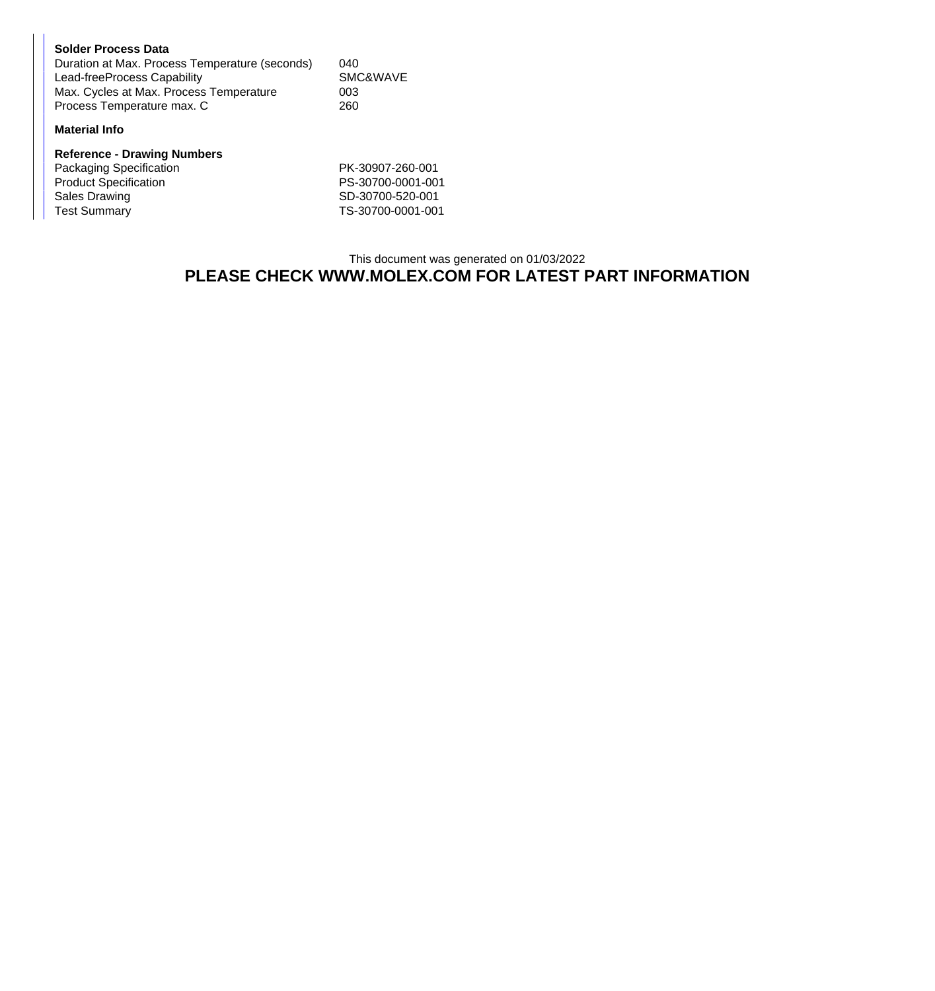| <b>Solder Process Data</b>                     |          |
|------------------------------------------------|----------|
| Duration at Max. Process Temperature (seconds) | 040      |
| Lead-freeProcess Capability                    | SMC&WAVE |
| Max. Cycles at Max. Process Temperature        | 003      |
| Process Temperature max. C                     | 260      |

## **Material Info**

| <b>Reference - Drawing Numbers</b> |                   |
|------------------------------------|-------------------|
| Packaging Specification            | PK-30907-260-001  |
| <b>Product Specification</b>       | PS-30700-0001-001 |
| Sales Drawing                      | SD-30700-520-001  |
| <b>Test Summary</b>                | TS-30700-0001-001 |

## This document was generated on 01/03/2022 **PLEASE CHECK WWW.MOLEX.COM FOR LATEST PART INFORMATION**